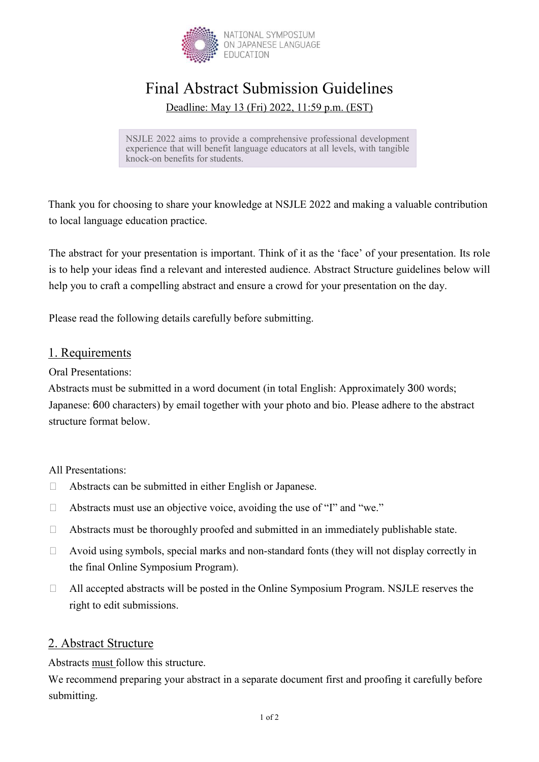

# Final Abstract Submission Guidelines

Deadline: May 13 (Fri) 2022, 11:59 p.m. (EST)

NSJLE 2022 aims to provide a comprehensive professional development experience that will benefit language educators at all levels, with tangible knock-on benefits for students.

Thank you for choosing to share your knowledge at NSJLE 2022 and making a valuable contribution to local language education practice.

The abstract for your presentation is important. Think of it as the 'face' of your presentation. Its role is to help your ideas find a relevant and interested audience. Abstract Structure guidelines below will help you to craft a compelling abstract and ensure a crowd for your presentation on the day.

Please read the following details carefully before submitting.

## 1. Requirements

Oral Presentations:

Abstracts must be submitted in a word document (in total English: Approximately 300 words; Japanese: 600 characters) by email together with your photo and bio. Please adhere to the abstract structure format below.

All Presentations:

- Abstracts can be submitted in either English or Japanese.
- $\Box$  Abstracts must use an objective voice, avoiding the use of "I" and "we."
- $\Box$  Abstracts must be thoroughly proofed and submitted in an immediately publishable state.
- $\Box$  Avoid using symbols, special marks and non-standard fonts (they will not display correctly in the final Online Symposium Program).
- All accepted abstracts will be posted in the Online Symposium Program. NSJLE reserves the right to edit submissions.

# 2. Abstract Structure

Abstracts must follow this structure.

We recommend preparing your abstract in a separate document first and proofing it carefully before submitting.